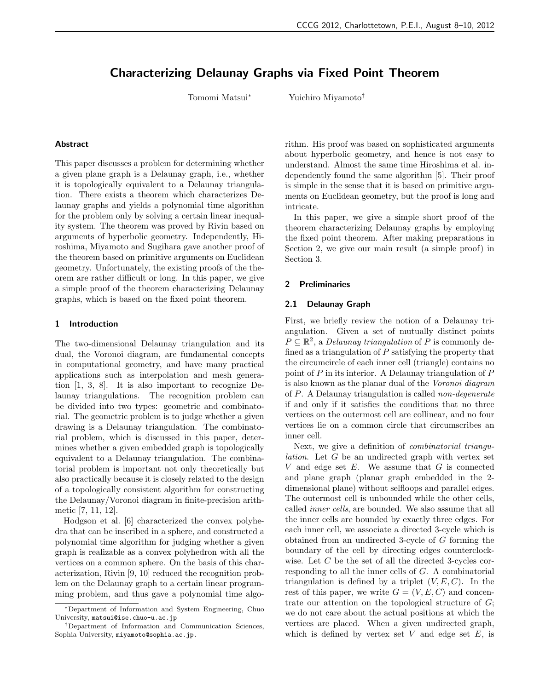# **Characterizing Delaunay Graphs via Fixed Point Theorem**

Tomomi Matsui*<sup>∗</sup>* Yuichiro Miyamoto*†*

# **Abstract**

This paper discusses a problem for determining whether a given plane graph is a Delaunay graph, i.e., whether it is topologically equivalent to a Delaunay triangulation. There exists a theorem which characterizes Delaunay graphs and yields a polynomial time algorithm for the problem only by solving a certain linear inequality system. The theorem was proved by Rivin based on arguments of hyperbolic geometry. Independently, Hiroshima, Miyamoto and Sugihara gave another proof of the theorem based on primitive arguments on Euclidean geometry. Unfortunately, the existing proofs of the theorem are rather difficult or long. In this paper, we give a simple proof of the theorem characterizing Delaunay graphs, which is based on the fixed point theorem.

#### **1 Introduction**

The two-dimensional Delaunay triangulation and its dual, the Voronoi diagram, are fundamental concepts in computational geometry, and have many practical applications such as interpolation and mesh generation [1, 3, 8]. It is also important to recognize Delaunay triangulations. The recognition problem can be divided into two types: geometric and combinatorial. The geometric problem is to judge whether a given drawing is a Delaunay triangulation. The combinatorial problem, which is discussed in this paper, determines whether a given embedded graph is topologically equivalent to a Delaunay triangulation. The combinatorial problem is important not only theoretically but also practically because it is closely related to the design of a topologically consistent algorithm for constructing the Delaunay/Voronoi diagram in finite-precision arithmetic [7, 11, 12].

Hodgson et al. [6] characterized the convex polyhedra that can be inscribed in a sphere, and constructed a polynomial time algorithm for judging whether a given graph is realizable as a convex polyhedron with all the vertices on a common sphere. On the basis of this characterization, Rivin [9, 10] reduced the recognition problem on the Delaunay graph to a certain linear programming problem, and thus gave a polynomial time algorithm. His proof was based on sophisticated arguments about hyperbolic geometry, and hence is not easy to understand. Almost the same time Hiroshima et al. independently found the same algorithm [5]. Their proof is simple in the sense that it is based on primitive arguments on Euclidean geometry, but the proof is long and intricate.

In this paper, we give a simple short proof of the theorem characterizing Delaunay graphs by employing the fixed point theorem. After making preparations in Section 2, we give our main result (a simple proof) in Section 3.

# **2 Preliminaries**

# **2.1 Delaunay Graph**

First, we briefly review the notion of a Delaunay triangulation. Given a set of mutually distinct points  $P \subseteq \mathbb{R}^2$ , a *Delaunay triangulation* of *P* is commonly defined as a triangulation of *P* satisfying the property that the circumcircle of each inner cell (triangle) contains no point of *P* in its interior. A Delaunay triangulation of *P* is also known as the planar dual of the *Voronoi diagram* of *P*. A Delaunay triangulation is called *non-degenerate* if and only if it satisfies the conditions that no three vertices on the outermost cell are collinear, and no four vertices lie on a common circle that circumscribes an inner cell.

Next, we give a definition of *combinatorial triangulation*. Let *G* be an undirected graph with vertex set *V* and edge set *E*. We assume that *G* is connected and plane graph (planar graph embedded in the 2 dimensional plane) without selfloops and parallel edges. The outermost cell is unbounded while the other cells, called *inner cells*, are bounded. We also assume that all the inner cells are bounded by exactly three edges. For each inner cell, we associate a directed 3-cycle which is obtained from an undirected 3-cycle of *G* forming the boundary of the cell by directing edges counterclockwise. Let *C* be the set of all the directed 3-cycles corresponding to all the inner cells of *G*. A combinatorial triangulation is defined by a triplet  $(V, E, C)$ . In the rest of this paper, we write  $G = (V, E, C)$  and concentrate our attention on the topological structure of *G*; we do not care about the actual positions at which the vertices are placed. When a given undirected graph, which is defined by vertex set  $V$  and edge set  $E$ , is

*<sup>∗</sup>*Department of Information and System Engineering, Chuo University, matsui@ise.chuo-u.ac.jp

*<sup>†</sup>*Department of Information and Communication Sciences, Sophia University, miyamoto@sophia.ac.jp.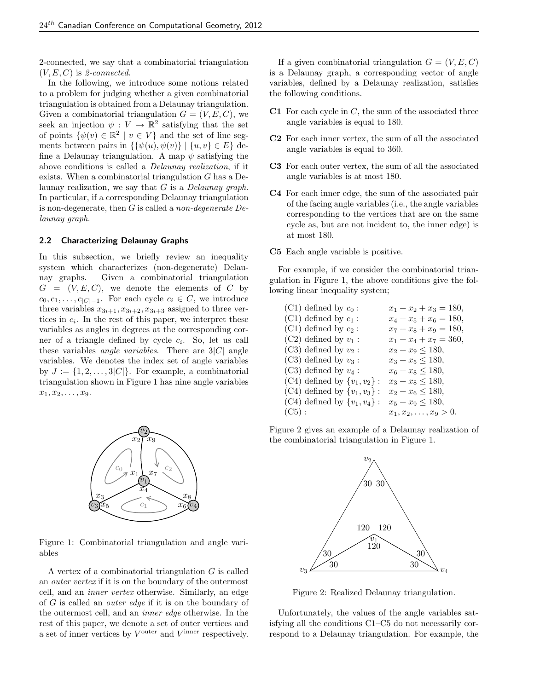2-connected, we say that a combinatorial triangulation (*V, E, C*) is *2-connected*.

In the following, we introduce some notions related to a problem for judging whether a given combinatorial triangulation is obtained from a Delaunay triangulation. Given a combinatorial triangulation  $G = (V, E, C)$ , we seek an injection  $\psi : V \to \mathbb{R}^2$  satisfying that the set of points  $\{\psi(v) \in \mathbb{R}^2 \mid v \in V\}$  and the set of line segments between pairs in  $\{\psi(u), \psi(v)\} \mid \{u, v\} \in E\}$  define a Delaunay triangulation. A map *ψ* satisfying the above conditions is called a *Delaunay realization*, if it exists. When a combinatorial triangulation *G* has a Delaunay realization, we say that *G* is a *Delaunay graph*. In particular, if a corresponding Delaunay triangulation is non-degenerate, then *G* is called a *non-degenerate Delaunay graph*.

#### **2.2 Characterizing Delaunay Graphs**

In this subsection, we briefly review an inequality system which characterizes (non-degenerate) Delaunay graphs. Given a combinatorial triangulation  $G = (V, E, C)$ , we denote the elements of *C* by *c*<sub>0</sub>*, c*<sub>1</sub>*, . . . , c*<sub>|*C*|−1</sub>. For each cycle  $c_i \in C$ , we introduce three variables  $x_{3i+1}, x_{3i+2}, x_{3i+3}$  assigned to three vertices in  $c_i$ . In the rest of this paper, we interpret these variables as angles in degrees at the corresponding corner of a triangle defined by cycle *c<sup>i</sup>* . So, let us call these variables *angle variables*. There are 3*|C|* angle variables. We denotes the index set of angle variables by  $J := \{1, 2, \ldots, 3|C|\}$ . For example, a combinatorial triangulation shown in Figure 1 has nine angle variables  $x_1, x_2, \ldots, x_9.$ 



Figure 1: Combinatorial triangulation and angle variables

A vertex of a combinatorial triangulation *G* is called an *outer vertex* if it is on the boundary of the outermost cell, and an *inner vertex* otherwise. Similarly, an edge of *G* is called an *outer edge* if it is on the boundary of the outermost cell, and an *inner edge* otherwise. In the rest of this paper, we denote a set of outer vertices and a set of inner vertices by  $V^{\text{outer}}$  and  $V^{\text{inner}}$  respectively.

If a given combinatorial triangulation  $G = (V, E, C)$ is a Delaunay graph, a corresponding vector of angle variables, defined by a Delaunay realization, satisfies the following conditions.

- **C1** For each cycle in *C*, the sum of the associated three angle variables is equal to 180.
- **C2** For each inner vertex, the sum of all the associated angle variables is equal to 360.
- **C3** For each outer vertex, the sum of all the associated angle variables is at most 180.
- **C4** For each inner edge, the sum of the associated pair of the facing angle variables (i.e., the angle variables corresponding to the vertices that are on the same cycle as, but are not incident to, the inner edge) is at most 180.
- **C5** Each angle variable is positive.

For example, if we consider the combinatorial triangulation in Figure 1, the above conditions give the following linear inequality system;

| $(C1)$ defined by $c_0$ :          | $x_1 + x_2 + x_3 = 180,$     |
|------------------------------------|------------------------------|
| $(C1)$ defined by $c_1$ :          | $x_4 + x_5 + x_6 = 180,$     |
| $(C1)$ defined by $c_2$ :          | $x_7 + x_8 + x_9 = 180,$     |
| $(C2)$ defined by $v_1$ :          | $x_1 + x_4 + x_7 = 360,$     |
| $(C3)$ defined by $v_2$ :          | $x_2 + x_9 \le 180,$         |
| $(C3)$ defined by $v_3$ :          | $x_3 + x_5 \le 180,$         |
| $(C3)$ defined by $v_4$ :          | $x_6 + x_8 \le 180,$         |
| $(C4)$ defined by $\{v_1, v_2\}$ : | $x_3 + x_8 \le 180,$         |
| $(C4)$ defined by $\{v_1, v_3\}$ : | $x_2 + x_6 \le 180,$         |
| $(C4)$ defined by $\{v_1, v_4\}$ : | $x_5 + x_9 \le 180,$         |
| (C5):                              | $x_1, x_2, \ldots, x_9 > 0.$ |
|                                    |                              |

Figure 2 gives an example of a Delaunay realization of the combinatorial triangulation in Figure 1.



Figure 2: Realized Delaunay triangulation.

Unfortunately, the values of the angle variables satisfying all the conditions C1–C5 do not necessarily correspond to a Delaunay triangulation. For example, the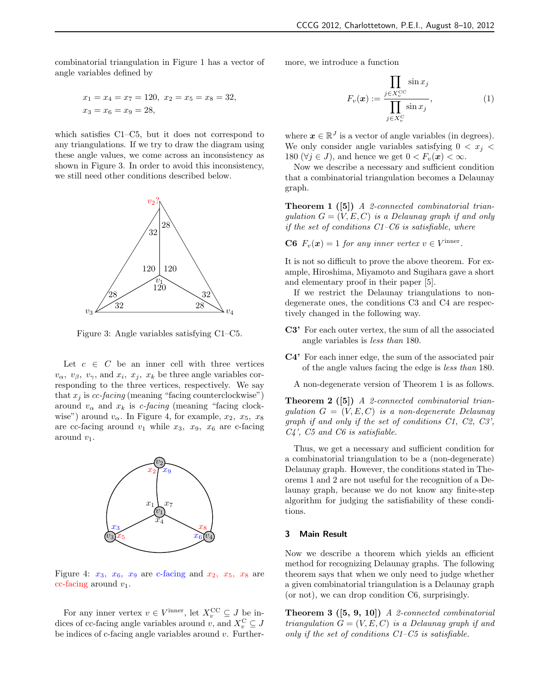combinatorial triangulation in Figure 1 has a vector of angle variables defined by

$$
x_1 = x_4 = x_7 = 120
$$
,  $x_2 = x_5 = x_8 = 32$ ,  
 $x_3 = x_6 = x_9 = 28$ ,

which satisfies C1–C5, but it does not correspond to any triangulations. If we try to draw the diagram using these angle values, we come across an inconsistency as shown in Figure 3. In order to avoid this inconsistency, we still need other conditions described below.



Figure 3: Angle variables satisfying C1–C5.

Let  $c \in C$  be an inner cell with three vertices *v*<sub> $\alpha$ </sub>, *v*<sub> $\beta$ </sub>, *v*<sub> $\gamma$ </sub>, and *x*<sub>*i*</sub>, *x*<sub>*j*</sub>, *x*<sub>*k*</sub> be three angle variables corresponding to the three vertices, respectively. We say that  $x_j$  is  $cc$ -facing (meaning "facing counterclockwise") around  $v_{\alpha}$  and  $x_k$  is *c-facing* (meaning "facing clockwise") around  $v_\alpha$ . In Figure 4, for example,  $x_2, x_5, x_8$ are cc-facing around  $v_1$  while  $x_3$ ,  $x_9$ ,  $x_6$  are c-facing around  $v_1$ .



Figure 4:  $x_3$ ,  $x_6$ ,  $x_9$  are c-facing and  $x_2$ ,  $x_5$ ,  $x_8$  are cc-facing around *v*1.

For any inner vertex  $v \in V^{\text{inner}}$ , let  $X_v^{\text{CC}} \subseteq J$  be indices of cc-facing angle variables around *v*, and  $X_v^{\text{C}} \subseteq J$ be indices of c-facing angle variables around *v*. Furthermore, we introduce a function

$$
F_v(\boldsymbol{x}) := \frac{\prod_{j \in X_v^{\text{CC}}} \sin x_j}{\prod_{j \in X_v^{\text{C}}} \sin x_j},
$$
\n(1)

where  $\mathbf{x} \in \mathbb{R}^J$  is a vector of angle variables (in degrees). We only consider angle variables satisfying  $0 < x_j <$ 180 ( $\forall j \in J$ ), and hence we get  $0 < F_v(\mathbf{x}) < \infty$ .

Now we describe a necessary and sufficient condition that a combinatorial triangulation becomes a Delaunay graph.

**Theorem 1 ([5])** *A 2-connected combinatorial triangulation*  $G = (V, E, C)$  *is a Delaunay graph if and only if the set of conditions C1–C6 is satisfiable, where*

**C6**  $F_v(\mathbf{x}) = 1$  for any inner vertex  $v \in V^{\text{inner}}$ .

It is not so difficult to prove the above theorem. For example, Hiroshima, Miyamoto and Sugihara gave a short and elementary proof in their paper [5].

If we restrict the Delaunay triangulations to nondegenerate ones, the conditions C3 and C4 are respectively changed in the following way.

- **C3'** For each outer vertex, the sum of all the associated angle variables is *less than* 180.
- **C4'** For each inner edge, the sum of the associated pair of the angle values facing the edge is *less than* 180.
	- A non-degenerate version of Theorem 1 is as follows.

**Theorem 2 ([5])** *A 2-connected combinatorial triangulation G* = (*V, E, C*) *is a non-degenerate Delaunay graph if and only if the set of conditions C1, C2, C3', C4', C5 and C6 is satisfiable.*

Thus, we get a necessary and sufficient condition for a combinatorial triangulation to be a (non-degenerate) Delaunay graph. However, the conditions stated in Theorems 1 and 2 are not useful for the recognition of a Delaunay graph, because we do not know any finite-step algorithm for judging the satisfiability of these conditions.

# **3 Main Result**

Now we describe a theorem which yields an efficient method for recognizing Delaunay graphs. The following theorem says that when we only need to judge whether a given combinatorial triangulation is a Delaunay graph (or not), we can drop condition C6, surprisingly.

**Theorem 3 ([5, 9, 10])** *A 2-connected combinatorial triangulation*  $G = (V, E, C)$  *is a Delaunay graph if and only if the set of conditions C1–C5 is satisfiable.*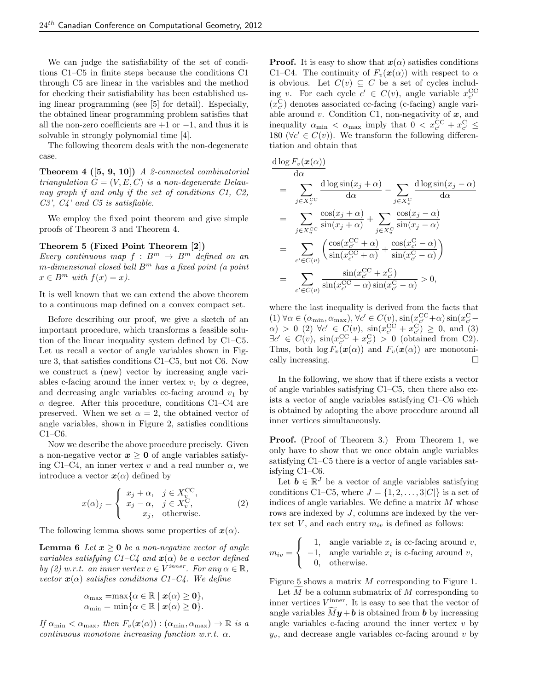We can judge the satisfiability of the set of conditions C1–C5 in finite steps because the conditions C1 through C5 are linear in the variables and the method for checking their satisfiability has been established using linear programming (see [5] for detail). Especially, the obtained linear programming problem satisfies that all the non-zero coefficients are +1 or *−*1, and thus it is solvable in strongly polynomial time [4].

The following theorem deals with the non-degenerate case.

**Theorem 4 ([5, 9, 10])** *A 2-connected combinatorial triangulation*  $G = (V, E, C)$  *is a non-degenerate Delaunay graph if and only if the set of conditions C1, C2, C3', C4' and C5 is satisfiable.*

We employ the fixed point theorem and give simple proofs of Theorem 3 and Theorem 4.

# **Theorem 5 (Fixed Point Theorem [2])**

*Every continuous map*  $f : B^m \to B^m$  *defined on an m-dimensional closed ball B<sup>m</sup> has a fixed point (a point*  $x \in B^m$  *with*  $f(x) = x$ .

It is well known that we can extend the above theorem to a continuous map defined on a convex compact set.

Before describing our proof, we give a sketch of an important procedure, which transforms a feasible solution of the linear inequality system defined by C1–C5. Let us recall a vector of angle variables shown in Figure 3, that satisfies conditions C1–C5, but not C6. Now we construct a (new) vector by increasing angle variables c-facing around the inner vertex  $v_1$  by  $\alpha$  degree, and decreasing angle variables cc-facing around  $v_1$  by  $\alpha$  degree. After this procedure, conditions C1–C4 are preserved. When we set  $\alpha = 2$ , the obtained vector of angle variables, shown in Figure 2, satisfies conditions C1–C6.

Now we describe the above procedure precisely. Given a non-negative vector  $x \geq 0$  of angle variables satisfying C1–C4, an inner vertex  $v$  and a real number  $\alpha$ , we introduce a vector  $x(\alpha)$  defined by

$$
x(\alpha)_j = \begin{cases} x_j + \alpha, & j \in X_v^{\text{CC}}, \\ x_j - \alpha, & j \in X_v^{\text{C}}, \\ x_j, & \text{otherwise.} \end{cases}
$$
 (2)

The following lemma shows some properties of  $x(\alpha)$ .

**Lemma 6** *Let*  $x \geq 0$  *be a non-negative vector of angle variables satisfying C1–C4 and x*(*α*) *be a vector defined by* (2) *w.r.t.* an inner vertex  $v \in V^{inner}$ *. For any*  $\alpha \in \mathbb{R}$ *, vector*  $\mathbf{x}(\alpha)$  *satisfies conditions C1–C4.* We define

$$
\alpha_{\max} = \max \{ \alpha \in \mathbb{R} \mid \mathbf{x}(\alpha) \geq \mathbf{0} \},
$$
  

$$
\alpha_{\min} = \min \{ \alpha \in \mathbb{R} \mid \mathbf{x}(\alpha) \geq \mathbf{0} \}.
$$

*If*  $\alpha_{\min} < \alpha_{\max}$ , then  $F_v(\mathbf{x}(\alpha)) : (\alpha_{\min}, \alpha_{\max}) \to \mathbb{R}$  is a *continuous monotone increasing function w.r.t. α.*

**Proof.** It is easy to show that  $x(\alpha)$  satisfies conditions C1–C4. The continuity of  $F_v(\mathbf{x}(\alpha))$  with respect to  $\alpha$ is obvious. Let  $C(v) \subseteq C$  be a set of cycles including *v*. For each cycle  $c' \in C(v)$ , angle variable  $x_{c'}^{\text{CC}}$  $(x_{c}^{\text{C}})$  denotes associated cc-facing (c-facing) angle variable around *v*. Condition C1, non-negativity of *x*, and inequality  $\alpha_{\min} < \alpha_{\max}$  imply that  $0 < x_{c'}^{\text{CC}} + x_{c'}^{\text{C}} \leq$ 180 ( $\forall c' \in C(v)$ ). We transform the following differentiation and obtain that

$$
\frac{d \log F_v(\mathbf{x}(\alpha))}{d \alpha} \n= \sum_{j \in X_v^{\text{CC}}} \frac{d \log \sin(x_j + \alpha)}{d \alpha} - \sum_{j \in X_v^{\text{C}}} \frac{d \log \sin(x_j - \alpha)}{d \alpha} \n= \sum_{j \in X_v^{\text{CC}}} \frac{\cos(x_j + \alpha)}{\sin(x_j + \alpha)} + \sum_{j \in X_v^{\text{C}}} \frac{\cos(x_j - \alpha)}{\sin(x_j - \alpha)} \n= \sum_{c' \in C(v)} \left( \frac{\cos(x_c^{\text{CC}} + \alpha)}{\sin(x_c^{\text{CC}} + \alpha)} + \frac{\cos(x_c^{\text{C}} - \alpha)}{\sin(x_c^{\text{C}} - \alpha)} \right) \n= \sum_{c' \in C(v)} \frac{\sin(x_c^{\text{CC}} + x_c^{\text{C}})}{\sin(x_c^{\text{CC}} + \alpha)\sin(x_c^{\text{C}} - \alpha)} > 0,
$$

where the last inequality is derived from the facts that  $(1) \forall \alpha \in (\alpha_{\min}, \alpha_{\max}), \forall c' \in C(v), \sin(x_{c'}^{\text{CC}} + \alpha) \sin(x_{c'}^{\text{C}} - \alpha)$  $\alpha$ ) > 0 (2)  $\forall c' \in C(v)$ ,  $\sin(x_{c'}^{CC} + x_{c'}^{C}) \geq 0$ , and (3)  $\exists c' \in C(v)$ ,  $\sin(x_{c'}^{\text{CC}} + x_{c'}^{\text{C}}) > 0$  (obtained from C2). Thus, both  $\log F_v(\mathbf{x}(\alpha))$  and  $F_v(\mathbf{x}(\alpha))$  are monotonically increasing. □

In the following, we show that if there exists a vector of angle variables satisfying C1–C5, then there also exists a vector of angle variables satisfying C1–C6 which is obtained by adopting the above procedure around all inner vertices simultaneously.

**Proof.** (Proof of Theorem 3.) From Theorem 1, we only have to show that we once obtain angle variables satisfying C1–C5 there is a vector of angle variables satisfying C1–C6.

Let  $\mathbf{b} \in \mathbb{R}^J$  be a vector of angle variables satisfying conditions C1–C5, where  $J = \{1, 2, \ldots, 3|C|\}$  is a set of indices of angle variables. We define a matrix *M* whose rows are indexed by *J*, columns are indexed by the vertex set  $V$ , and each entry  $m_{iv}$  is defined as follows:

$$
m_{iv} = \begin{cases} 1, & \text{angle variable } x_i \text{ is cc-facing around } v, \\ -1, & \text{angle variable } x_i \text{ is c-facing around } v, \\ 0, & \text{otherwise.} \end{cases}
$$

Figure 5 shows a matrix *M* corresponding to Figure 1.

Let *M* be a column submatrix of *M* corresponding to inner vertices  $V^{\text{inner}}$ . It is easy to see that the vector of angle variables  $\tilde{My} + \boldsymbol{b}$  is obtained from  $\boldsymbol{b}$  by increasing angle variables c-facing around the inner vertex *v* by  $y_v$ , and decrease angle variables cc-facing around *v* by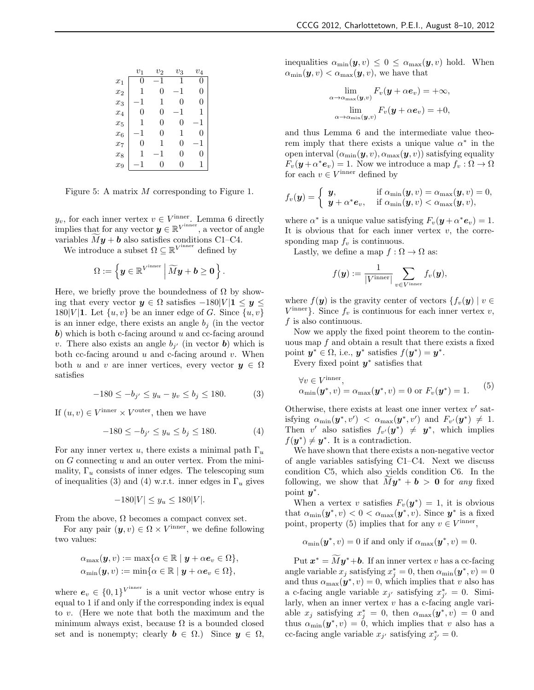|       | $v_1$ | $v_2$ | $v_3$                         | $v_4$ |
|-------|-------|-------|-------------------------------|-------|
| $x_1$ | 0     | -1    | 1                             | 0     |
| $x_2$ | 1     | 0     | 1<br>$\overline{\phantom{0}}$ | 0     |
| $x_3$ | -1    | 1     | 0                             | 0     |
| $x_4$ | 0     | 0     | -1                            | 1     |
| $x_5$ | 1     | 0     | 0                             | -1    |
| $x_6$ | -1    | 0     | 1                             | 0     |
| $x_7$ | 0     | 1     | 0                             | -1    |
| $x_8$ | 1     | -1    | 0                             | 0     |
| $x_9$ | 1     | 0     | 0                             | 1     |

Figure 5: A matrix *M* corresponding to Figure 1.

 $y_v$ , for each inner vertex  $v \in V^{\text{inner}}$ . Lemma 6 directly implies that for any vector  $y \in \mathbb{R}^{V^{\text{inner}}},$  a vector of angle variables  $\overline{My} + \overline{b}$  also satisfies conditions C1–C4.

We introduce a subset  $\Omega \subseteq \mathbb{R}^{V^{\text{inner}}}$  defined by

$$
\Omega:=\left\{\boldsymbol{y}\in\mathbb{R}^{V^{\mathrm{inner}}}\,\Big|\, \widetilde{M}\boldsymbol{y}+\boldsymbol{b}\geq \boldsymbol{0}\right.\right\}.
$$

Here, we briefly prove the boundedness of  $\Omega$  by showing that every vector *y ∈* Ω satisfies *−*180*|V |***1** *≤ y ≤* 180*|V* | **1**. Let  $\{u, v\}$  be an inner edge of *G*. Since  $\{u, v\}$ is an inner edge, there exists an angle  $b_j$  (in the vector *b*) which is both c-facing around *u* and cc-facing around *v*. There also exists an angle  $b_{j'}$  (in vector *b*) which is both cc-facing around *u* and c-facing around *v*. When both *u* and *v* are inner vertices, every vector  $y \in \Omega$ satisfies

$$
-180 \le -b_{j'} \le y_u - y_v \le b_j \le 180. \tag{3}
$$

If  $(u, v) \in V^{\text{inner}} \times V^{\text{outer}}$ , then we have

$$
-180 \le -b_{j'} \le y_u \le b_j \le 180. \tag{4}
$$

For any inner vertex *u*, there exists a minimal path  $\Gamma_u$ on *G* connecting *u* and an outer vertex. From the minimality,  $\Gamma_u$  consists of inner edges. The telescoping sum of inequalities (3) and (4) w.r.t. inner edges in  $\Gamma_u$  gives

$$
-180|V| \le y_u \le 180|V|.
$$

From the above,  $\Omega$  becomes a compact convex set.

For any pair  $(\mathbf{y}, v) \in \Omega \times V^{\text{inner}}$ , we define following two values:

$$
\alpha_{\max}(\boldsymbol{y}, v) := \max \{ \alpha \in \mathbb{R} \mid \boldsymbol{y} + \alpha \boldsymbol{e}_v \in \Omega \},
$$
  

$$
\alpha_{\min}(\boldsymbol{y}, v) := \min \{ \alpha \in \mathbb{R} \mid \boldsymbol{y} + \alpha \boldsymbol{e}_v \in \Omega \},
$$

where  $e_v \in \{0,1\}^{V^{\text{inner}}}$  is a unit vector whose entry is equal to 1 if and only if the corresponding index is equal to *v*. (Here we note that both the maximum and the minimum always exist, because  $\Omega$  is a bounded closed set and is nonempty; clearly  $\mathbf{b} \in \Omega$ .) Since  $\mathbf{y} \in \Omega$ , inequalities  $\alpha_{\min}(\mathbf{y}, v) \leq 0 \leq \alpha_{\max}(\mathbf{y}, v)$  hold. When  $\alpha_{\min}(\mathbf{y}, v) < \alpha_{\max}(\mathbf{y}, v)$ , we have that

$$
\lim_{\alpha \to \alpha_{\max}(\boldsymbol{y}, v)} F_v(\boldsymbol{y} + \alpha \boldsymbol{e}_v) = +\infty,
$$
  

$$
\lim_{\alpha \to \alpha_{\min}(\boldsymbol{y}, v)} F_v(\boldsymbol{y} + \alpha \boldsymbol{e}_v) = +0,
$$

and thus Lemma 6 and the intermediate value theorem imply that there exists a unique value  $\alpha^*$  in the open interval  $(\alpha_{\min}(\boldsymbol{y}, v), \alpha_{\max}(\boldsymbol{y}, v))$  satisfying equality  $F_v(\mathbf{y} + \alpha^* \mathbf{e}_v) = 1$ . Now we introduce a map  $f_v : \Omega \to \Omega$ for each  $v \in V^{\text{inner}}$  defined by

$$
f_v(\boldsymbol{y}) = \begin{cases} \boldsymbol{y}, & \text{if } \alpha_{\min}(\boldsymbol{y}, v) = \alpha_{\max}(\boldsymbol{y}, v) = 0, \\ \boldsymbol{y} + \alpha^* \boldsymbol{e}_v, & \text{if } \alpha_{\min}(\boldsymbol{y}, v) < \alpha_{\max}(\boldsymbol{y}, v), \end{cases}
$$

where  $\alpha^*$  is a unique value satisfying  $F_v(\mathbf{y} + \alpha^* \mathbf{e}_v) = 1$ . It is obvious that for each inner vertex  $v$ , the corresponding map  $f_v$  is continuous.

Lastly, we define a map  $f : \Omega \to \Omega$  as:

$$
f(\mathbf{y}) := \frac{1}{|V^{\text{inner}}|} \sum_{v \in V^{\text{inner}}} f_v(\mathbf{y}),
$$

where  $f(\mathbf{y})$  is the gravity center of vectors  $\{f_v(\mathbf{y}) \mid v \in$  $V^{\text{inner}}$ . Since  $f_v$  is continuous for each inner vertex *v*, *f* is also continuous.

Now we apply the fixed point theorem to the continuous map *f* and obtain a result that there exists a fixed point  $y^* \in \Omega$ , i.e.,  $y^*$  satisfies  $f(y^*) = y^*$ .

Every fixed point *y ∗* satisfies that

$$
\forall v \in V^{\text{inner}},
$$
  
\n
$$
\alpha_{\min}(\mathbf{y}^*, v) = \alpha_{\max}(\mathbf{y}^*, v) = 0 \text{ or } F_v(\mathbf{y}^*) = 1.
$$
 (5)

Otherwise, there exists at least one inner vertex *v ′* satisfying  $\alpha_{\min}(\mathbf{y}^*, v') < \alpha_{\max}(\mathbf{y}^*, v')$  and  $F_{v'}(\mathbf{y}^*) \neq 1$ . Then *v*' also satisfies  $f_{v'}(\mathbf{y}^*) \neq \mathbf{y}^*$ , which implies  $f(\mathbf{y}^*) \neq \mathbf{y}^*$ . It is a contradiction.

We have shown that there exists a non-negative vector of angle variables satisfying C1–C4. Next we discuss condition C5, which also yields condition C6. In the following, we show that  $M\mathbf{y}^* + \mathbf{b} > \mathbf{0}$  for *any* fixed point *y ∗* .

When a vertex *v* satisfies  $F_v(\mathbf{y}^*) = 1$ , it is obvious that  $\alpha_{\min}(\mathbf{y}^*, v) < 0 < \alpha_{\max}(\mathbf{y}^*, v)$ . Since  $\mathbf{y}^*$  is a fixed point, property (5) implies that for any  $v \in V^{\text{inner}}$ ,

$$
\alpha_{\min}(\mathbf{y}^*, v) = 0
$$
 if and only if  $\alpha_{\max}(\mathbf{y}^*, v) = 0$ .

Put  $\mathbf{x}^* = M\mathbf{y}^* + \mathbf{b}$ . If an inner vertex *v* has a cc-facing angle variable  $x_j$  satisfying  $x_j^* = 0$ , then  $\alpha_{\min}(\mathbf{y}^*, v) = 0$ and thus  $\alpha_{\text{max}}(\mathbf{y}^*, v) = 0$ , which implies that *v* also has a c-facing angle variable  $x_{j'}$  satisfying  $x_{j'}^* = 0$ . Similarly, when an inner vertex *v* has a c-facing angle variable  $x_j$  satisfying  $x_j^* = 0$ , then  $\alpha_{\max}(\mathbf{y}^*, v) = 0$  and thus  $\alpha_{\min}(\mathbf{y}^*, v) = 0$ , which implies that *v* also has a cc-facing angle variable  $x_j$  satisfying  $x_{j'}^* = 0$ .